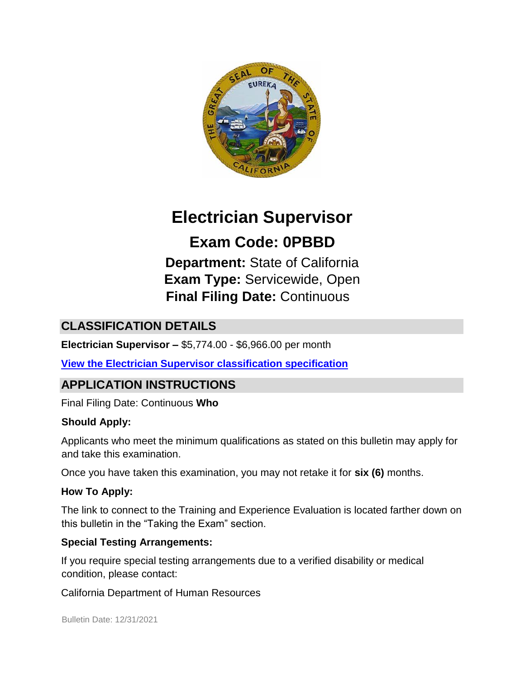

# **Electrician Supervisor**

**Exam Code: 0PBBD Department:** State of California **Exam Type:** Servicewide, Open **Final Filing Date:** Continuous

# **CLASSIFICATION DETAILS**

**Electrician Supervisor –** \$5,774.00 - \$6,966.00 per month

**[View the Electrician Supervisor classification specification](https://www.calhr.ca.gov/state-hr-professionals/pages/6533.aspx)**

### **APPLICATION INSTRUCTIONS**

Final Filing Date: Continuous **Who** 

#### **Should Apply:**

Applicants who meet the minimum qualifications as stated on this bulletin may apply for and take this examination.

Once you have taken this examination, you may not retake it for **six (6)** months.

#### **How To Apply:**

The link to connect to the Training and Experience Evaluation is located farther down on this bulletin in the "Taking the Exam" section.

#### **Special Testing Arrangements:**

If you require special testing arrangements due to a verified disability or medical condition, please contact:

California Department of Human Resources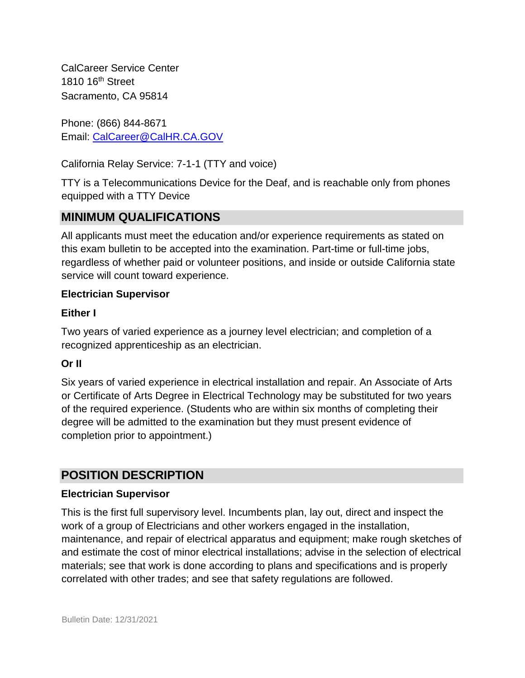CalCareer Service Center 1810 16<sup>th</sup> Street Sacramento, CA 95814

Phone: (866) 844-8671 Email: CalCareer@CalHR.CA.GOV

California Relay Service: 7-1-1 (TTY and voice)

TTY is a Telecommunications Device for the Deaf, and is reachable only from phones equipped with a TTY Device

# **MINIMUM QUALIFICATIONS**

All applicants must meet the education and/or experience requirements as stated on this exam bulletin to be accepted into the examination. Part-time or full-time jobs, regardless of whether paid or volunteer positions, and inside or outside California state service will count toward experience.

#### **Electrician Supervisor**

#### **Either I**

Two years of varied experience as a journey level electrician; and completion of a recognized apprenticeship as an electrician.

#### **Or II**

Six years of varied experience in electrical installation and repair. An Associate of Arts or Certificate of Arts Degree in Electrical Technology may be substituted for two years of the required experience. (Students who are within six months of completing their degree will be admitted to the examination but they must present evidence of completion prior to appointment.)

### **POSITION DESCRIPTION**

#### **Electrician Supervisor**

This is the first full supervisory level. Incumbents plan, lay out, direct and inspect the work of a group of Electricians and other workers engaged in the installation, maintenance, and repair of electrical apparatus and equipment; make rough sketches of and estimate the cost of minor electrical installations; advise in the selection of electrical materials; see that work is done according to plans and specifications and is properly correlated with other trades; and see that safety regulations are followed.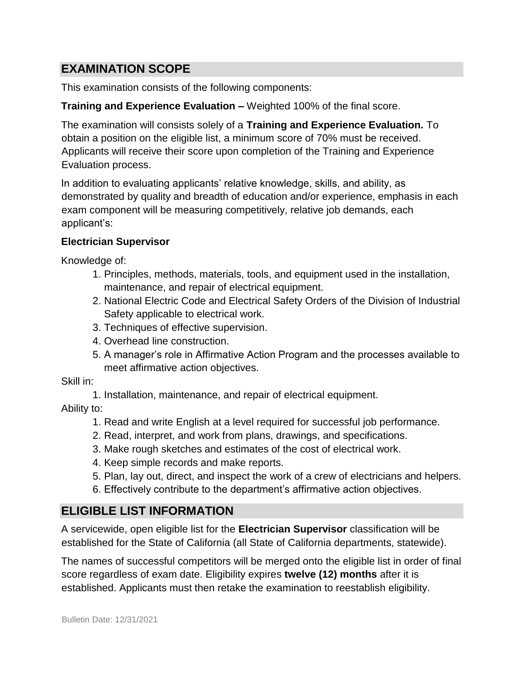### **EXAMINATION SCOPE**

This examination consists of the following components:

#### **Training and Experience Evaluation –** Weighted 100% of the final score.

The examination will consists solely of a **Training and Experience Evaluation.** To obtain a position on the eligible list, a minimum score of 70% must be received. Applicants will receive their score upon completion of the Training and Experience Evaluation process.

In addition to evaluating applicants' relative knowledge, skills, and ability, as demonstrated by quality and breadth of education and/or experience, emphasis in each exam component will be measuring competitively, relative job demands, each applicant's:

#### **Electrician Supervisor**

Knowledge of:

- 1. Principles, methods, materials, tools, and equipment used in the installation, maintenance, and repair of electrical equipment.
- 2. National Electric Code and Electrical Safety Orders of the Division of Industrial Safety applicable to electrical work.
- 3. Techniques of effective supervision.
- 4. Overhead line construction.
- 5. A manager's role in Affirmative Action Program and the processes available to meet affirmative action objectives.

Skill in:

1. Installation, maintenance, and repair of electrical equipment.

Ability to:

- 1. Read and write English at a level required for successful job performance.
- 2. Read, interpret, and work from plans, drawings, and specifications.
- 3. Make rough sketches and estimates of the cost of electrical work.
- 4. Keep simple records and make reports.
- 5. Plan, lay out, direct, and inspect the work of a crew of electricians and helpers.
- 6. Effectively contribute to the department's affirmative action objectives.

### **ELIGIBLE LIST INFORMATION**

A servicewide, open eligible list for the **Electrician Supervisor** classification will be established for the State of California (all State of California departments, statewide).

The names of successful competitors will be merged onto the eligible list in order of final score regardless of exam date. Eligibility expires **twelve (12) months** after it is established. Applicants must then retake the examination to reestablish eligibility.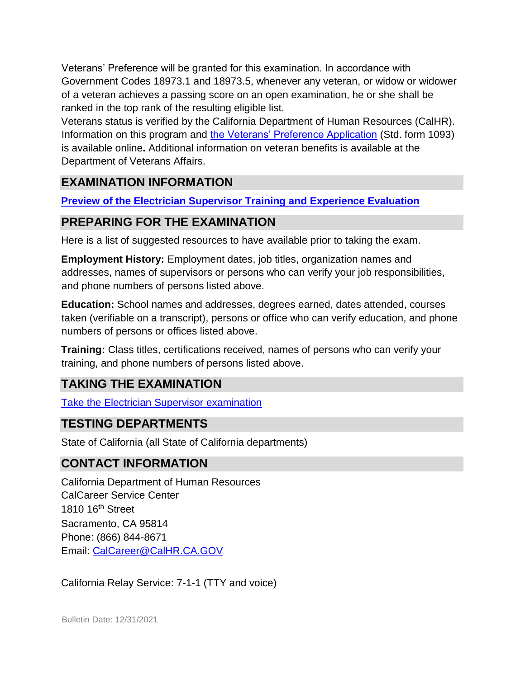Veterans' Preference will be granted for this examination. In accordance with Government Codes 18973.1 and 18973.5, whenever any veteran, or widow or widower of a veteran achieves a passing score on an open examination, he or she shall be ranked in the top rank of the resulting eligible list.

Veterans status is verified by the California Department of Human Resources (CalHR). Information on this program and [the Veterans' Preference Application](https://www.jobs.ca.gov/CalHRPublic/Landing/Jobs/VeteransInformation.aspx) [\(](https://www.jobs.ca.gov/CalHRPublic/Landing/Jobs/VeteransInformation.aspx)Std. form 1093) is available online**.** Additional information on veteran benefits is available at the Department of Veterans Affairs.

# **EXAMINATION INFORMATION**

**[Preview of the Electrician Supervisor Training and Experience Evaluation](https://jobs.ca.gov/JOBSGEN/0PBBdC.PDF)** 

# **PREPARING FOR THE EXAMINATION**

Here is a list of suggested resources to have available prior to taking the exam.

**Employment History:** Employment dates, job titles, organization names and addresses, names of supervisors or persons who can verify your job responsibilities, and phone numbers of persons listed above.

**Education:** School names and addresses, degrees earned, dates attended, courses taken (verifiable on a transcript), persons or office who can verify education, and phone numbers of persons or offices listed above.

**Training:** Class titles, certifications received, names of persons who can verify your training, and phone numbers of persons listed above.

# **TAKING THE EXAMINATION**

[Take the](https://www.jobs.ca.gov/CalHRPublic/Login.aspx?ExamId=0PBBD) [Electrician Supervisor](https://www.jobs.ca.gov/CalHRPublic/Login.aspx?ExamId=0PBBD) [examination](https://www.jobs.ca.gov/CalHRPublic/Login.aspx?ExamId=0PBBD)

### **TESTING DEPARTMENTS**

State of California (all State of California departments)

### **CONTACT INFORMATION**

California Department of Human Resources CalCareer Service Center 1810 16th Street Sacramento, CA 95814 Phone: (866) 844-8671 Email: CalCareer@CalHR.CA.GOV

California Relay Service: 7-1-1 (TTY and voice)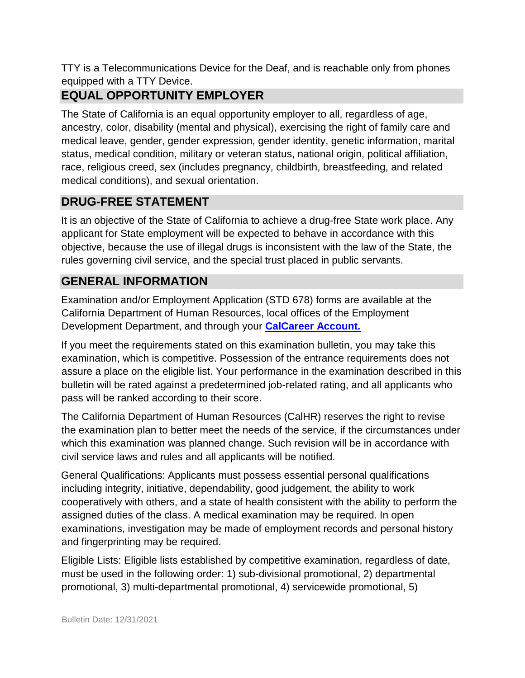TTY is a Telecommunications Device for the Deaf, and is reachable only from phones equipped with a TTY Device.

# **EQUAL OPPORTUNITY EMPLOYER**

The State of California is an equal opportunity employer to all, regardless of age, ancestry, color, disability (mental and physical), exercising the right of family care and medical leave, gender, gender expression, gender identity, genetic information, marital status, medical condition, military or veteran status, national origin, political affiliation, race, religious creed, sex (includes pregnancy, childbirth, breastfeeding, and related medical conditions), and sexual orientation.

# **DRUG-FREE STATEMENT**

It is an objective of the State of California to achieve a drug-free State work place. Any applicant for State employment will be expected to behave in accordance with this objective, because the use of illegal drugs is inconsistent with the law of the State, the rules governing civil service, and the special trust placed in public servants.

# **GENERAL INFORMATION**

Examination and/or Employment Application (STD 678) forms are available at the California Department of Human Resources, local offices of the Employment Development Department, and through your **[CalCareer Account.](http://www.jobs.ca.gov/)**

If you meet the requirements stated on this examination bulletin, you may take this examination, which is competitive. Possession of the entrance requirements does not assure a place on the eligible list. Your performance in the examination described in this bulletin will be rated against a predetermined job-related rating, and all applicants who pass will be ranked according to their score.

The California Department of Human Resources (CalHR) reserves the right to revise the examination plan to better meet the needs of the service, if the circumstances under which this examination was planned change. Such revision will be in accordance with civil service laws and rules and all applicants will be notified.

General Qualifications: Applicants must possess essential personal qualifications including integrity, initiative, dependability, good judgement, the ability to work cooperatively with others, and a state of health consistent with the ability to perform the assigned duties of the class. A medical examination may be required. In open examinations, investigation may be made of employment records and personal history and fingerprinting may be required.

Eligible Lists: Eligible lists established by competitive examination, regardless of date, must be used in the following order: 1) sub-divisional promotional, 2) departmental promotional, 3) multi-departmental promotional, 4) servicewide promotional, 5)